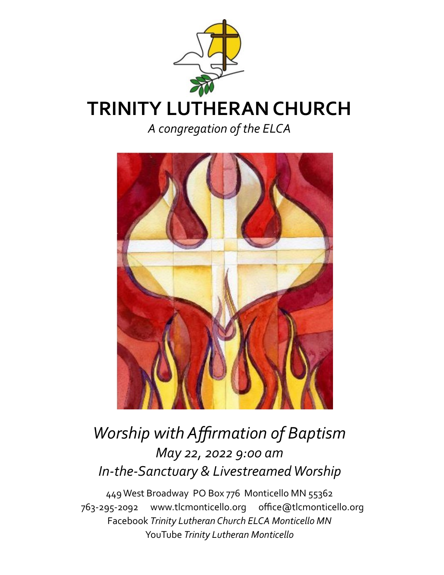



# *Worship with Affirmation of Baptism May 22, 2022 9:00 am In-the-Sanctuary & Livestreamed Worship*

449 West Broadway PO Box 776 Monticello MN 55362 763-295-2092 www.tlcmonticello.org office@tlcmonticello.org Facebook *Trinity Lutheran Church ELCA Monticello MN*  YouTube *Trinity Lutheran Monticello*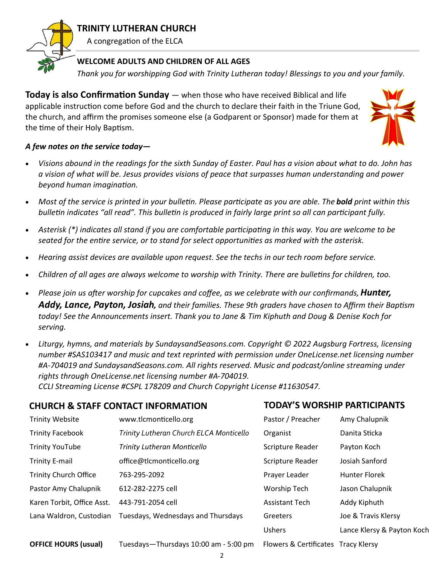

### **TRINITY LUTHERAN CHURCH**

A congregation of the ELCA

#### **WELCOME ADULTS AND CHILDREN OF ALL AGES**

*Thank you for worshipping God with Trinity Lutheran today! Blessings to you and your family.* 

**Today is also Confirmation Sunday** — when those who have received Biblical and life applicable instruction come before God and the church to declare their faith in the Triune God, the church, and affirm the promises someone else (a Godparent or Sponsor) made for them at the time of their Holy Baptism.



#### *A few notes on the service today—*

- *Visions abound in the readings for the sixth Sunday of Easter. Paul has a vision about what to do. John has a vision of what will be. Jesus provides visions of peace that surpasses human understanding and power beyond human imagination.*
- *Most of the service is printed in your bulletin. Please participate as you are able. The bold print within this bulletin indicates "all read". This bulletin is produced in fairly large print so all can participant fully.*
- *Asterisk (\*) indicates all stand if you are comfortable participating in this way. You are welcome to be seated for the entire service, or to stand for select opportunities as marked with the asterisk.*
- *Hearing assist devices are available upon request. See the techs in our tech room before service.*
- *Children of all ages are always welcome to worship with Trinity. There are bulletins for children, too.*
- *Please join us after worship for cupcakes and coffee, as we celebrate with our confirmands, Hunter, Addy, Lance, Payton, Josiah, and their families. These 9th graders have chosen to Affirm their Baptism today! See the Announcements insert. Thank you to Jane & Tim Kiphuth and Doug & Denise Koch for serving.*
- *Liturgy, hymns, and materials by SundaysandSeasons.com. Copyright © 2022 Augsburg Fortress, licensing number #SAS103417 and music and text reprinted with permission under OneLicense.net licensing number #A-704019 and SundaysandSeasons.com. All rights reserved. Music and podcast/online streaming under rights through OneLicense.net licensing number #A-704019.*

*CCLI Streaming License #CSPL 178209 and Church Copyright License #11630547.*

| <b>CHURCH &amp; STAFF CONTACT INFORMATION</b> |                                         | <b>TODAY'S WORSHIP PARTICIPANTS</b> |                            |
|-----------------------------------------------|-----------------------------------------|-------------------------------------|----------------------------|
| <b>Trinity Website</b>                        | www.tlcmonticello.org                   | Pastor / Preacher                   | Amy Chalupnik              |
| <b>Trinity Facebook</b>                       | Trinity Lutheran Church ELCA Monticello | Organist                            | Danita Sticka              |
| <b>Trinity YouTube</b>                        | <b>Trinity Lutheran Monticello</b>      | Scripture Reader                    | Payton Koch                |
| <b>Trinity E-mail</b>                         | office@tlcmonticello.org                | Scripture Reader                    | Josiah Sanford             |
| <b>Trinity Church Office</b>                  | 763-295-2092                            | Prayer Leader                       | <b>Hunter Florek</b>       |
| Pastor Amy Chalupnik                          | 612-282-2275 cell                       | Worship Tech                        | Jason Chalupnik            |
| Karen Torbit, Office Asst.                    | 443-791-2054 cell                       | <b>Assistant Tech</b>               | Addy Kiphuth               |
| Lana Waldron, Custodian                       | Tuesdays, Wednesdays and Thursdays      | Greeters                            | Joe & Travis Klersy        |
|                                               |                                         | <b>Ushers</b>                       | Lance Klersy & Payton Koch |
| <b>OFFICE HOURS (usual)</b>                   | Tuesdays-Thursdays 10:00 am - 5:00 pm   | Flowers & Certificates Tracy Klersy |                            |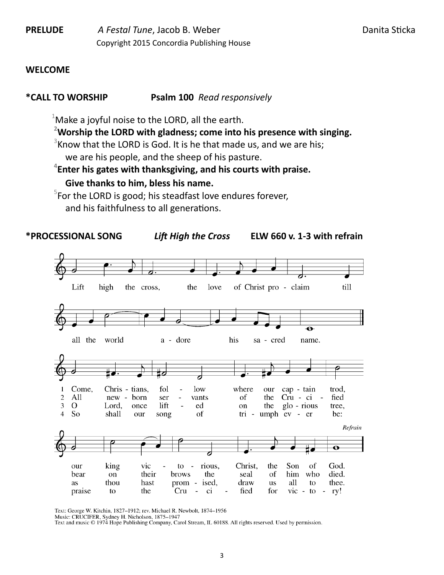**PRELUDE** *A Festal Tune*, Jacob B. Weber **Danita Sticka** Danita Sticka Copyright 2015 Concordia Publishing House

#### **WELCOME**

#### **\*CALL TO WORSHIP Psalm 100** *Read responsively*

 $1$ Make a joyful noise to the LORD, all the earth.

**<sup>2</sup>Worship the LORD with gladness; come into his presence with singing.**

 $3$ Know that the LORD is God. It is he that made us, and we are his; we are his people, and the sheep of his pasture.

**4 Enter his gates with thanksgiving, and his courts with praise.**

#### **Give thanks to him, bless his name.**

 $5$ For the LORD is good; his steadfast love endures forever, and his faithfulness to all generations.



Text: George W. Kitchin, 1827-1912; rev. Michael R. Newbolt, 1874-1956

Music: CRUCIFER, Sydney H. Nicholson, 1875-1947

Text and music © 1974 Hope Publishing Company, Carol Stream, IL 60188. All rights reserved. Used by permission.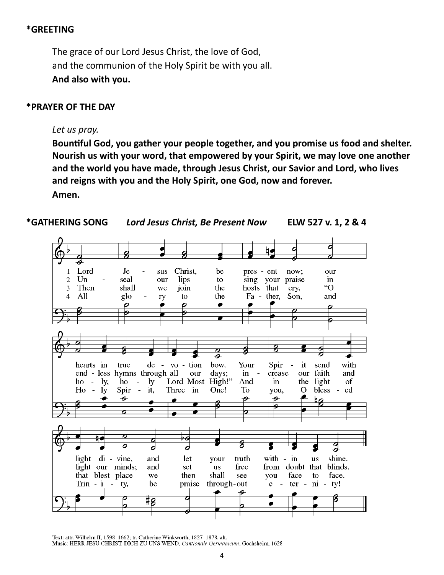#### **\*GREETING**

The grace of our Lord Jesus Christ, the love of God, and the communion of the Holy Spirit be with you all. **And also with you.**

#### **\*PRAYER OF THE DAY**

#### *Let us pray.*

**Bountiful God, you gather your people together, and you promise us food and shelter. Nourish us with your word, that empowered by your Spirit, we may love one another and the world you have made, through Jesus Christ, our Savior and Lord, who lives and reigns with you and the Holy Spirit, one God, now and forever. Amen.**



Text: attr. Wilhelm II, 1598-1662; tr. Catherine Winkworth, 1827-1878, alt.

Music: HERR JESU CHRIST, DICH ZU UNS WEND, Cantionale Germanicum, Gochsheim, 1628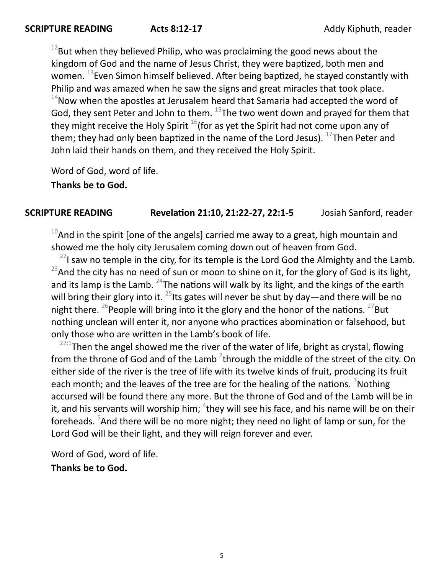$12$ But when they believed Philip, who was proclaiming the good news about the kingdom of God and the name of Jesus Christ, they were baptized, both men and women. <sup>13</sup> Even Simon himself believed. After being baptized, he stayed constantly with Philip and was amazed when he saw the signs and great miracles that took place.  $14$ Now when the apostles at Jerusalem heard that Samaria had accepted the word of God, they sent Peter and John to them.  $^{15}$ The two went down and prayed for them that they might receive the Holy Spirit  $16$  (for as yet the Spirit had not come upon any of them; they had only been baptized in the name of the Lord Jesus).  $^{17}$ Then Peter and John laid their hands on them, and they received the Holy Spirit.

Word of God, word of life.

**Thanks be to God.**

#### **SCRIPTURE READING Revelation 21:10, 21:22-27, 22:1-5** Josiah Sanford, reader

 $10$ And in the spirit [one of the angels] carried me away to a great, high mountain and showed me the holy city Jerusalem coming down out of heaven from God.

 $^{22}$ I saw no temple in the city, for its temple is the Lord God the Almighty and the Lamb.  $^{23}$ And the city has no need of sun or moon to shine on it, for the glory of God is its light, and its lamp is the Lamb.  $^{24}$ The nations will walk by its light, and the kings of the earth will bring their glory into it.  $^{25}$ lts gates will never be shut by day—and there will be no night there. <sup>26</sup> People will bring into it the glory and the honor of the nations. <sup>27</sup>But nothing unclean will enter it, nor anyone who practices abomination or falsehood, but only those who are written in the Lamb's book of life.

 $22:1$ Then the angel showed me the river of the water of life, bright as crystal, flowing from the throne of God and of the Lamb  $^2$ through the middle of the street of the city. On either side of the river is the tree of life with its twelve kinds of fruit, producing its fruit each month; and the leaves of the tree are for the healing of the nations.  $3$ Nothing accursed will be found there any more. But the throne of God and of the Lamb will be in it, and his servants will worship him;  ${}^{4}$ they will see his face, and his name will be on their foreheads. <sup>5</sup>And there will be no more night; they need no light of lamp or sun, for the Lord God will be their light, and they will reign forever and ever.

Word of God, word of life.

#### **Thanks be to God.**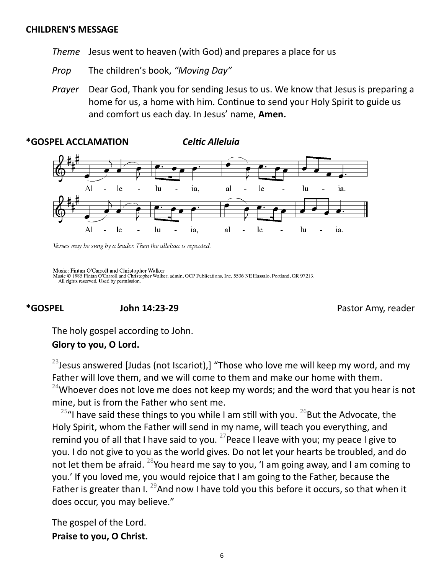#### **CHILDREN'S MESSAGE**

*Theme* Jesus went to heaven (with God) and prepares a place for us

*Prop* The children's book, *"Moving Day"* 

*Prayer* Dear God, Thank you for sending Jesus to us. We know that Jesus is preparing a home for us, a home with him. Continue to send your Holy Spirit to guide us and comfort us each day. In Jesus' name, **Amen.**



Verses may be sung by a leader. Then the alleluia is repeated.

**\*GOSPEL ACCLAMATION** *Celtic Alleluia*

Music: Fintan O'Carroll and Christopher Walker Music © 1985 Fintan O'Carroll and Christopher Walker, admin. OCP Publications, Inc. 5536 NE Hassalo, Portland, OR 97213. All rights reserved. Used by permission.

**\*GOSPEL John 14:23-29** Pastor Amy, reader

The holy gospel according to John.

#### **Glory to you, O Lord.**

 $^{23}$  Jesus answered [Judas (not Iscariot),] "Those who love me will keep my word, and my Father will love them, and we will come to them and make our home with them.  $24$ Whoever does not love me does not keep my words; and the word that you hear is not mine, but is from the Father who sent me.

 $25$ "I have said these things to you while I am still with you.  $26$ But the Advocate, the Holy Spirit, whom the Father will send in my name, will teach you everything, and remind you of all that I have said to you. <sup>27</sup> Peace I leave with you; my peace I give to you. I do not give to you as the world gives. Do not let your hearts be troubled, and do not let them be afraid. <sup>28</sup>You heard me say to you, 'I am going away, and I am coming to you.' If you loved me, you would rejoice that I am going to the Father, because the Father is greater than I.  $^{29}$ And now I have told you this before it occurs, so that when it does occur, you may believe."

The gospel of the Lord. **Praise to you, O Christ.**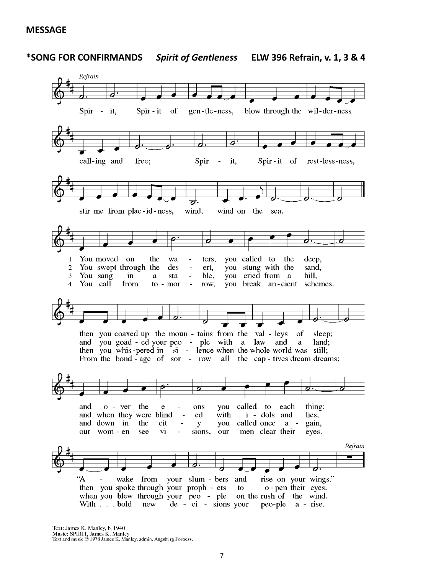**MESSAGE**



**\*SONG FOR CONFIRMANDS** *Spirit of Gentleness* **ELW 396 Refrain, v. 1, 3 & 4**

Text: James K. Manley, b. 1940 Music: SPIRIT, James K. Manley<br>Text and music © 1978 James K. Manley, admin. Augsburg Fortress.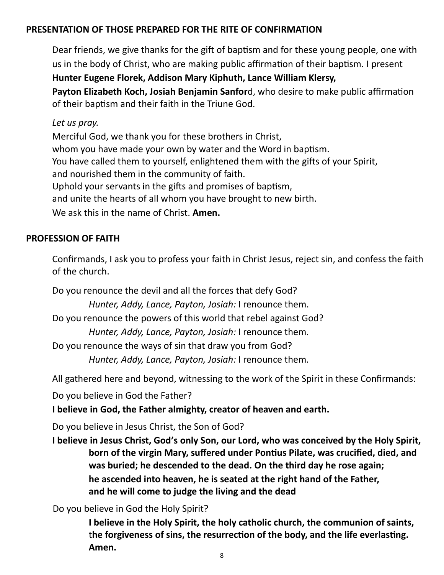#### **PRESENTATION OF THOSE PREPARED FOR THE RITE OF CONFIRMATION**

Dear friends, we give thanks for the gift of baptism and for these young people, one with us in the body of Christ, who are making public affirmation of their baptism. I present

**Hunter Eugene Florek, Addison Mary Kiphuth, Lance William Klersy,** 

**Payton Elizabeth Koch, Josiah Benjamin Sanfor**d, who desire to make public affirmation of their baptism and their faith in the Triune God.

#### *Let us pray.*

Merciful God, we thank you for these brothers in Christ, whom you have made your own by water and the Word in baptism. You have called them to yourself, enlightened them with the gifts of your Spirit, and nourished them in the community of faith. Uphold your servants in the gifts and promises of baptism, and unite the hearts of all whom you have brought to new birth. We ask this in the name of Christ. **Amen.**

#### **PROFESSION OF FAITH**

Confirmands, I ask you to profess your faith in Christ Jesus, reject sin, and confess the faith of the church.

Do you renounce the devil and all the forces that defy God?

*Hunter, Addy, Lance, Payton, Josiah:* I renounce them.

Do you renounce the powers of this world that rebel against God?

*Hunter, Addy, Lance, Payton, Josiah:* I renounce them.

Do you renounce the ways of sin that draw you from God?

*Hunter, Addy, Lance, Payton, Josiah:* I renounce them.

All gathered here and beyond, witnessing to the work of the Spirit in these Confirmands:

Do you believe in God the Father?

**I believe in God, the Father almighty, creator of heaven and earth.**

Do you believe in Jesus Christ, the Son of God?

**I believe in Jesus Christ, God's only Son, our Lord, who was conceived by the Holy Spirit, born of the virgin Mary, suffered under Pontius Pilate, was crucified, died, and was buried; he descended to the dead. On the third day he rose again; he ascended into heaven, he is seated at the right hand of the Father, and he will come to judge the living and the dead**

Do you believe in God the Holy Spirit?

**I believe in the Holy Spirit, the holy catholic church, the communion of saints,** t**he forgiveness of sins, the resurrection of the body, and the life everlasting. Amen.**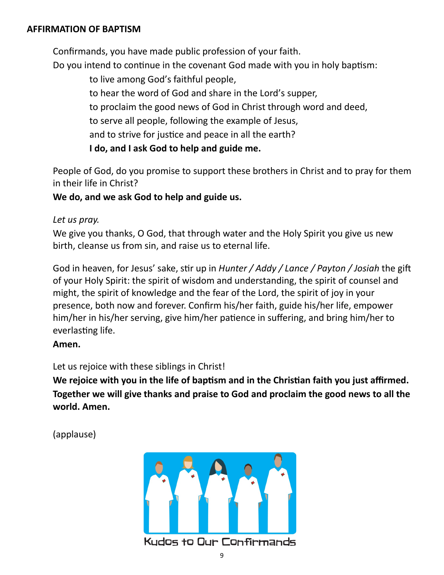#### **AFFIRMATION OF BAPTISM**

Confirmands, you have made public profession of your faith.

Do you intend to continue in the covenant God made with you in holy baptism:

to live among God's faithful people,

to hear the word of God and share in the Lord's supper,

to proclaim the good news of God in Christ through word and deed,

to serve all people, following the example of Jesus,

and to strive for justice and peace in all the earth?

**I do, and I ask God to help and guide me.**

People of God, do you promise to support these brothers in Christ and to pray for them in their life in Christ?

**We do, and we ask God to help and guide us.**

### *Let us pray.*

We give you thanks, O God, that through water and the Holy Spirit you give us new birth, cleanse us from sin, and raise us to eternal life.

God in heaven, for Jesus' sake, stir up in *Hunter / Addy / Lance / Payton / Josiah* the gift of your Holy Spirit: the spirit of wisdom and understanding, the spirit of counsel and might, the spirit of knowledge and the fear of the Lord, the spirit of joy in your presence, both now and forever. Confirm his/her faith, guide his/her life, empower him/her in his/her serving, give him/her patience in suffering, and bring him/her to everlasting life.

### **Amen.**

Let us rejoice with these siblings in Christ!

**We rejoice with you in the life of baptism and in the Christian faith you just affirmed. Together we will give thanks and praise to God and proclaim the good news to all the world. Amen.**

(applause)

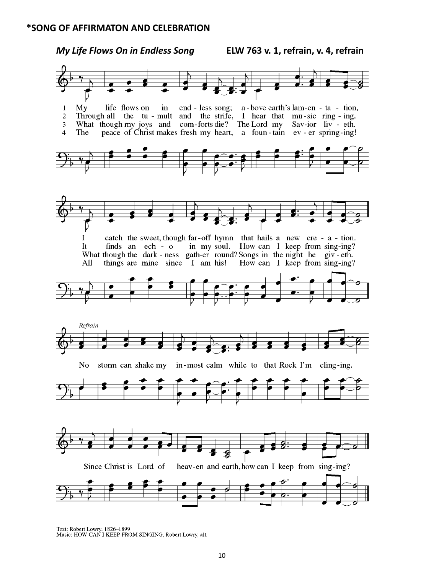#### **\*SONG OF AFFIRMATON AND CELEBRATION**



Text: Robert Lowry, 1826-1899<br>Music: HOW CAN I KEEP FROM SINGING, Robert Lowry, alt.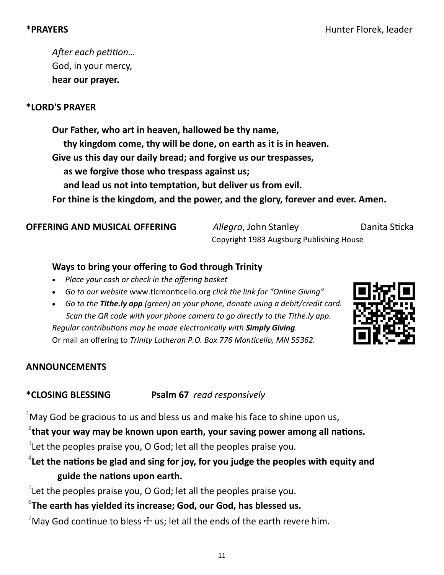*After each petition…* God, in your mercy, **hear our prayer.**

### **\*LORD'S PRAYER**

**Our Father, who art in heaven, hallowed be thy name, thy kingdom come, thy will be done, on earth as it is in heaven. Give us this day our daily bread; and forgive us our trespasses, as we forgive those who trespass against us; and lead us not into temptation, but deliver us from evil. For thine is the kingdom, and the power, and the glory, forever and ever. Amen.**

**OFFERING AND MUSICAL OFFERING** *Allegro*, John Stanley *Danita Sticka* Copyright 1983 Augsburg Publishing House

### **Ways to bring your offering to God through Trinity**

- *Place your cash or check in the offering basket*
- *Go to our website* www.tlcmonticello.org *click the link for "Online Giving"*
- *Go to the Tithe.ly app (green) on your phone, donate using a debit/credit card. Scan the QR code with your phone camera to go directly to the Tithe.ly app. Regular contributions may be made electronically with Simply Giving.*  Or mail an offering to *Trinity Lutheran P.O. Box 776 Monticello, MN 55362.*



#### **ANNOUNCEMENTS**

**\*CLOSING BLESSING Psalm 67** *read responsively*

 $1$ May God be gracious to us and bless us and make his face to shine upon us,

**2 that your way may be known upon earth, your saving power among all nations.**

 $3$ Let the peoples praise you, O God; let all the peoples praise you.

**4 Let the nations be glad and sing for joy, for you judge the peoples with equity and guide the nations upon earth.**

 $5$ Let the peoples praise you, O God; let all the peoples praise you.

## **6 The earth has yielded its increase; God, our God, has blessed us.**

May God continue to bless  $\pm$  us; let all the ends of the earth revere him.